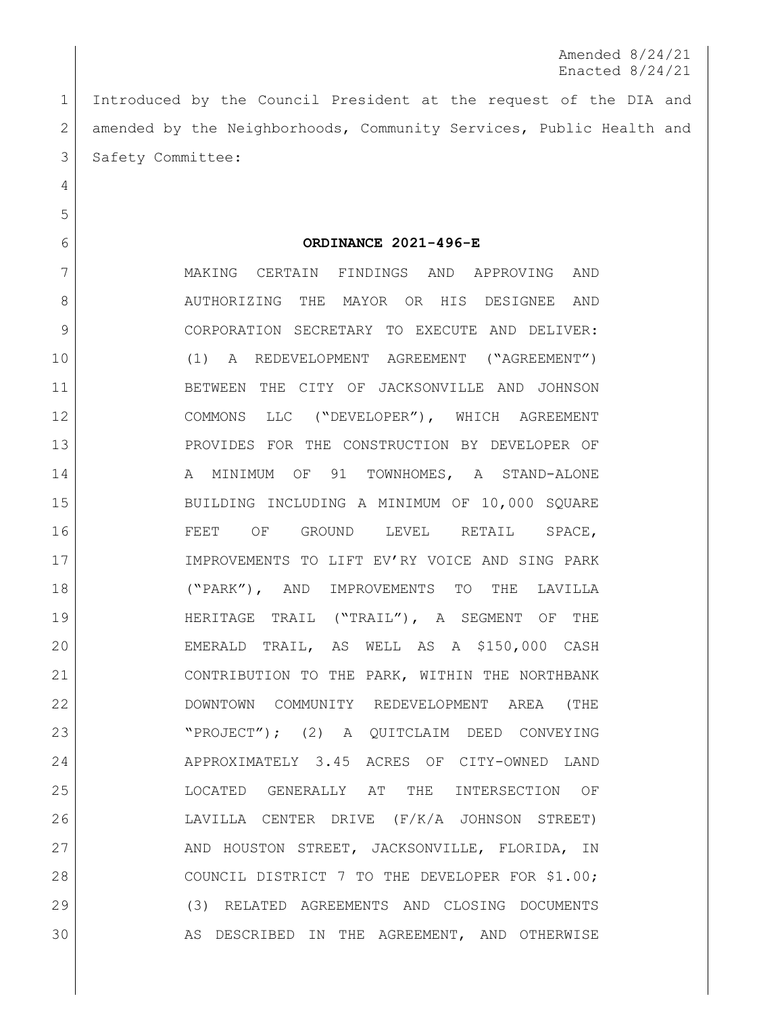Amended 8/24/21 Enacted 8/24/21

 Introduced by the Council President at the request of the DIA and 2 amended by the Neighborhoods, Community Services, Public Health and 3 Safety Committee:

**ORDINANCE 2021-496-E**

 MAKING CERTAIN FINDINGS AND APPROVING AND 8 AUTHORIZING THE MAYOR OR HIS DESIGNEE AND 9 CORPORATION SECRETARY TO EXECUTE AND DELIVER: (1) A REDEVELOPMENT AGREEMENT ("AGREEMENT") BETWEEN THE CITY OF JACKSONVILLE AND JOHNSON COMMONS LLC ("DEVELOPER"), WHICH AGREEMENT PROVIDES FOR THE CONSTRUCTION BY DEVELOPER OF 14 A MINIMUM OF 91 TOWNHOMES, A STAND-ALONE BUILDING INCLUDING A MINIMUM OF 10,000 SQUARE FEET OF GROUND LEVEL RETAIL SPACE, 17 | IMPROVEMENTS TO LIFT EV'RY VOICE AND SING PARK ("PARK"), AND IMPROVEMENTS TO THE LAVILLA HERITAGE TRAIL ("TRAIL"), A SEGMENT OF THE EMERALD TRAIL, AS WELL AS A \$150,000 CASH CONTRIBUTION TO THE PARK, WITHIN THE NORTHBANK DOWNTOWN COMMUNITY REDEVELOPMENT AREA (THE "PROJECT"); (2) A QUITCLAIM DEED CONVEYING APPROXIMATELY 3.45 ACRES OF CITY-OWNED LAND LOCATED GENERALLY AT THE INTERSECTION OF LAVILLA CENTER DRIVE (F/K/A JOHNSON STREET) 27 AND HOUSTON STREET, JACKSONVILLE, FLORIDA, IN 28 | COUNCIL DISTRICT 7 TO THE DEVELOPER FOR \$1.00; (3) RELATED AGREEMENTS AND CLOSING DOCUMENTS AS DESCRIBED IN THE AGREEMENT, AND OTHERWISE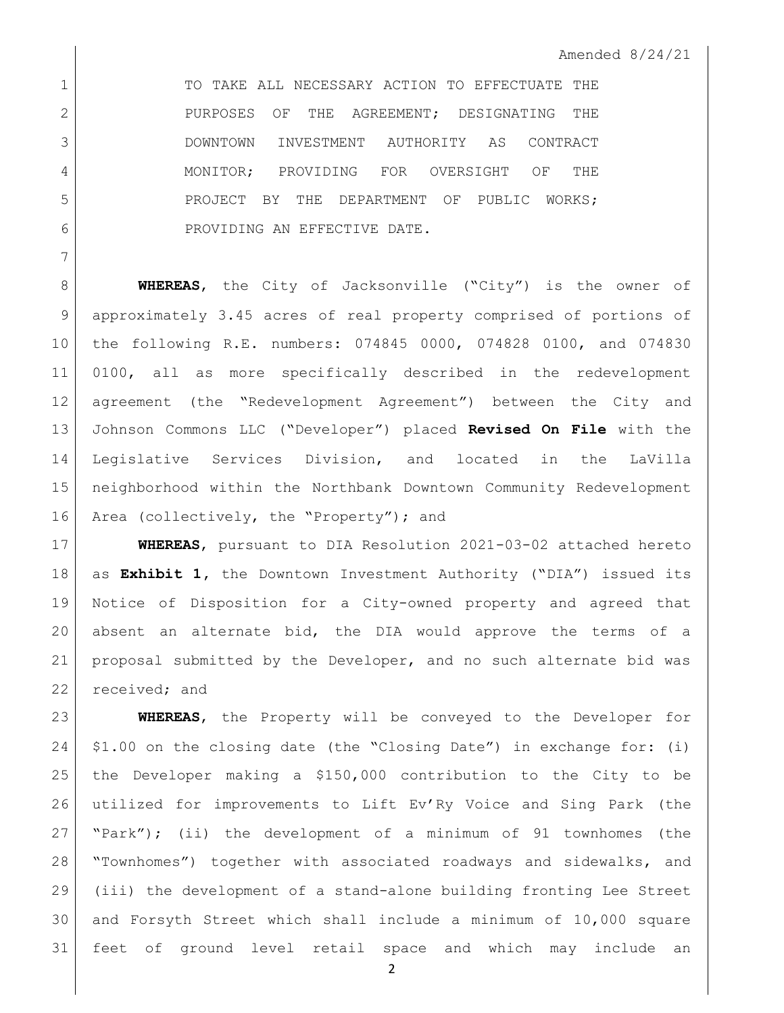1 TO TAKE ALL NECESSARY ACTION TO EFFECTUATE THE 2 PURPOSES OF THE AGREEMENT; DESIGNATING THE DOWNTOWN INVESTMENT AUTHORITY AS CONTRACT MONITOR; PROVIDING FOR OVERSIGHT OF THE **PROJECT BY THE DEPARTMENT OF PUBLIC WORKS:** 6 ROVIDING AN EFFECTIVE DATE.

**WHEREAS**, the City of Jacksonville ("City") is the owner of approximately 3.45 acres of real property comprised of portions of the following R.E. numbers: 074845 0000, 074828 0100, and 074830 0100, all as more specifically described in the redevelopment agreement (the "Redevelopment Agreement") between the City and Johnson Commons LLC ("Developer") placed **Revised On File** with the Legislative Services Division, and located in the LaVilla neighborhood within the Northbank Downtown Community Redevelopment 16 Area (collectively, the "Property"); and

 **WHEREAS**, pursuant to DIA Resolution 2021-03-02 attached hereto as **Exhibit 1,** the Downtown Investment Authority ("DIA") issued its Notice of Disposition for a City-owned property and agreed that absent an alternate bid, the DIA would approve the terms of a proposal submitted by the Developer, and no such alternate bid was 22 received; and

 **WHEREAS**, the Property will be conveyed to the Developer for \$1.00 on the closing date (the "Closing Date") in exchange for: (i) the Developer making a \$150,000 contribution to the City to be utilized for improvements to Lift Ev'Ry Voice and Sing Park (the "Park"); (ii) the development of a minimum of 91 townhomes (the "Townhomes") together with associated roadways and sidewalks, and (iii) the development of a stand-alone building fronting Lee Street and Forsyth Street which shall include a minimum of 10,000 square feet of ground level retail space and which may include an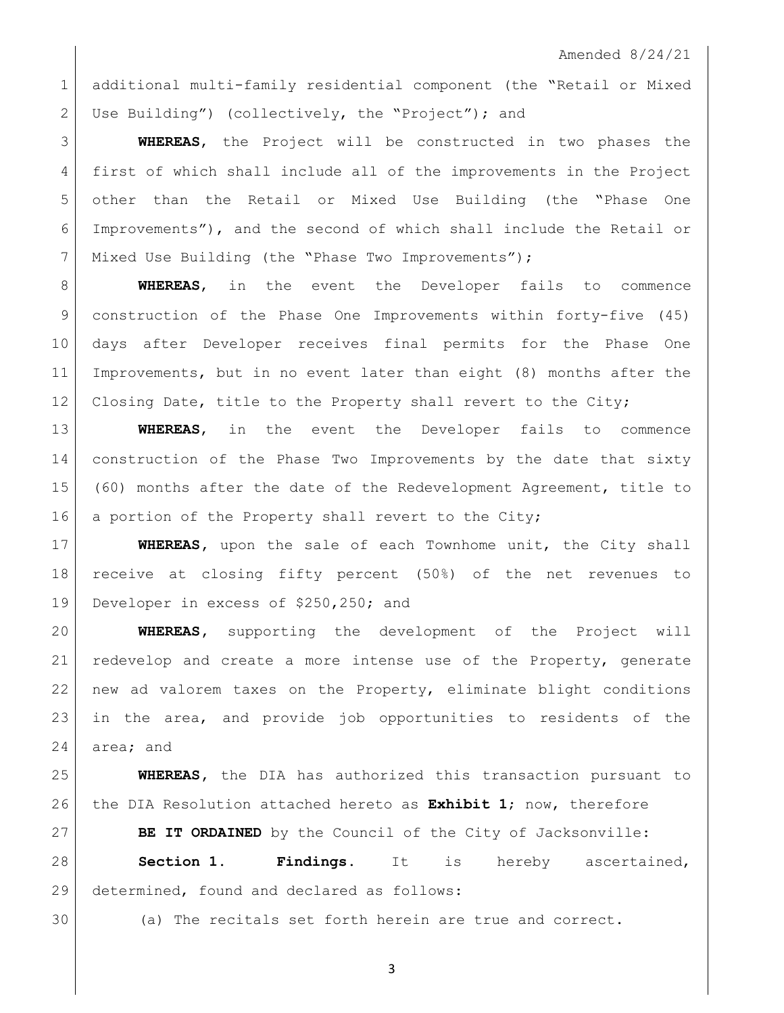additional multi-family residential component (the "Retail or Mixed 2 Use Building") (collectively, the "Project"); and

 **WHEREAS**, the Project will be constructed in two phases the first of which shall include all of the improvements in the Project other than the Retail or Mixed Use Building (the "Phase One Improvements"), and the second of which shall include the Retail or 7 | Mixed Use Building (the "Phase Two Improvements");

 **WHEREAS**, in the event the Developer fails to commence construction of the Phase One Improvements within forty-five (45) days after Developer receives final permits for the Phase One Improvements, but in no event later than eight (8) months after the 12 Closing Date, title to the Property shall revert to the City;

 **WHEREAS**, in the event the Developer fails to commence construction of the Phase Two Improvements by the date that sixty (60) months after the date of the Redevelopment Agreement, title to a portion of the Property shall revert to the City;

 **WHEREAS,** upon the sale of each Townhome unit, the City shall receive at closing fifty percent (50%) of the net revenues to 19 Developer in excess of \$250,250; and

 **WHEREAS,** supporting the development of the Project will 21 redevelop and create a more intense use of the Property, generate new ad valorem taxes on the Property, eliminate blight conditions in the area, and provide job opportunities to residents of the 24 area; and

 **WHEREAS,** the DIA has authorized this transaction pursuant to the DIA Resolution attached hereto as **Exhibit 1**; now, therefore

**BE IT ORDAINED** by the Council of the City of Jacksonville:

 **Section 1. Findings.** It is hereby ascertained, 29 determined, found and declared as follows:

(a) The recitals set forth herein are true and correct.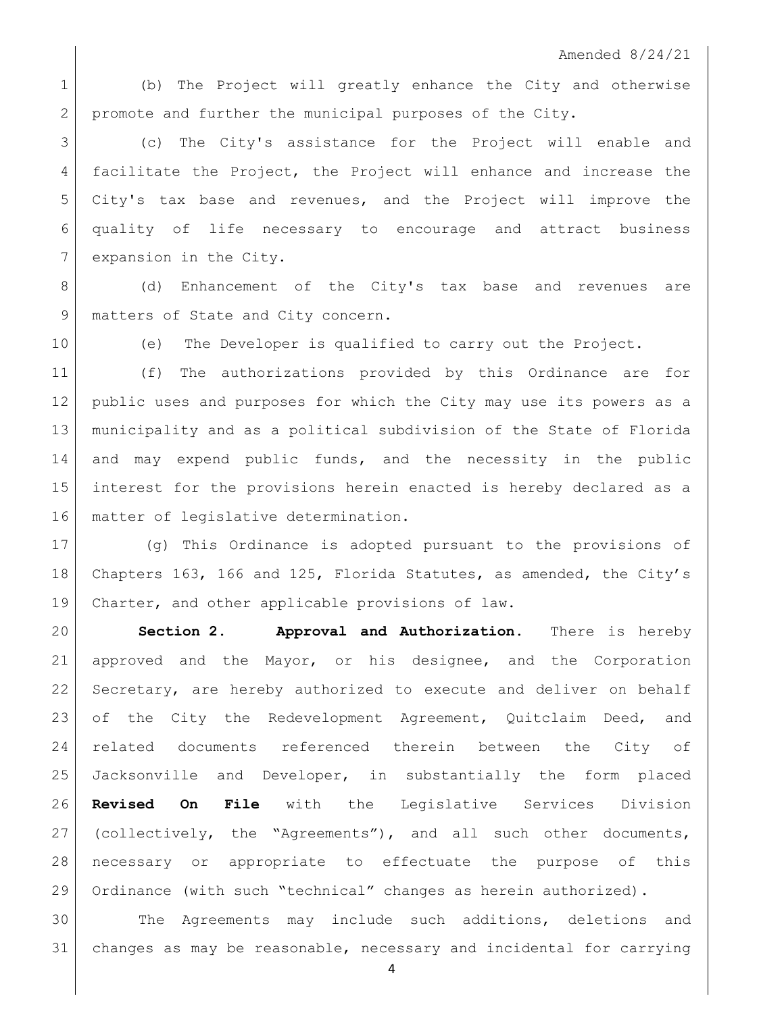1 (b) The Project will greatly enhance the City and otherwise 2 promote and further the municipal purposes of the City.

 (c) The City's assistance for the Project will enable and 4 facilitate the Project, the Project will enhance and increase the City's tax base and revenues, and the Project will improve the quality of life necessary to encourage and attract business 7 expansion in the City.

8 (d) Enhancement of the City's tax base and revenues are 9 | matters of State and City concern.

(e) The Developer is qualified to carry out the Project.

 (f) The authorizations provided by this Ordinance are for public uses and purposes for which the City may use its powers as a municipality and as a political subdivision of the State of Florida and may expend public funds, and the necessity in the public interest for the provisions herein enacted is hereby declared as a 16 | matter of legislative determination.

 (g) This Ordinance is adopted pursuant to the provisions of Chapters 163, 166 and 125, Florida Statutes, as amended, the City's Charter, and other applicable provisions of law.

 **Section 2. Approval and Authorization.** There is hereby approved and the Mayor, or his designee, and the Corporation 22 Secretary, are hereby authorized to execute and deliver on behalf of the City the Redevelopment Agreement, Quitclaim Deed, and related documents referenced therein between the City of Jacksonville and Developer, in substantially the form placed **Revised On File** with the Legislative Services Division 27 (collectively, the "Agreements"), and all such other documents, necessary or appropriate to effectuate the purpose of this Ordinance (with such "technical" changes as herein authorized).

 The Agreements may include such additions, deletions and changes as may be reasonable, necessary and incidental for carrying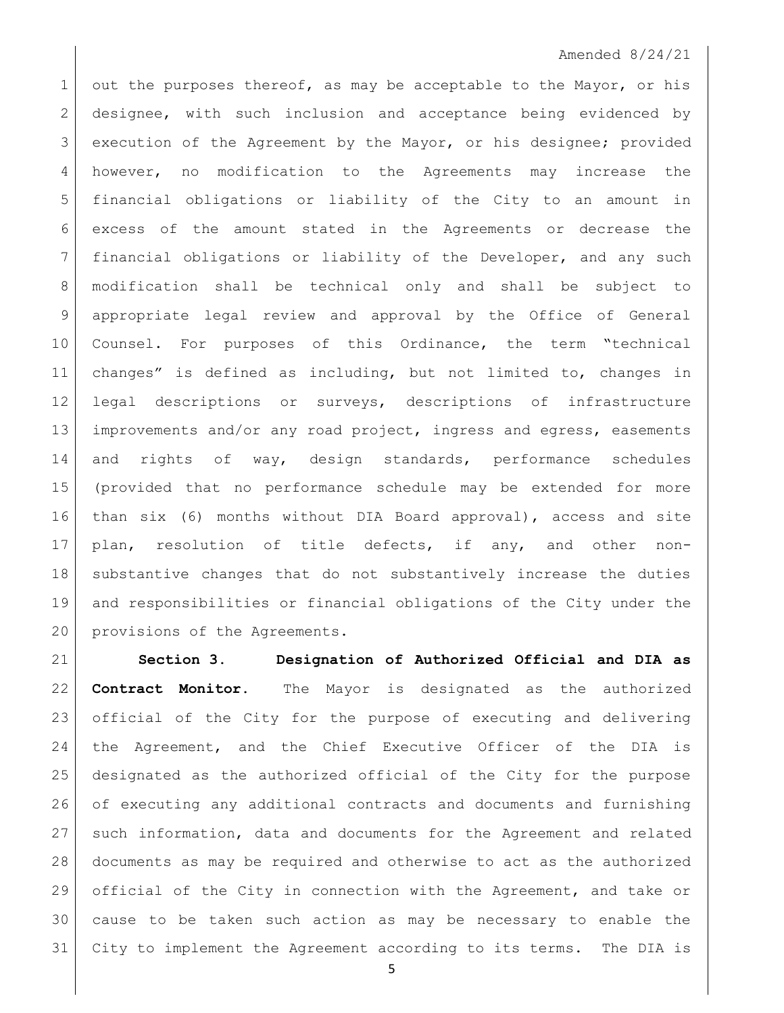## Amended 8/24/21

1 out the purposes thereof, as may be acceptable to the Mayor, or his 2 designee, with such inclusion and acceptance being evidenced by execution of the Agreement by the Mayor, or his designee; provided however, no modification to the Agreements may increase the financial obligations or liability of the City to an amount in excess of the amount stated in the Agreements or decrease the financial obligations or liability of the Developer, and any such modification shall be technical only and shall be subject to appropriate legal review and approval by the Office of General 10 Counsel. For purposes of this Ordinance, the term "technical changes" is defined as including, but not limited to, changes in legal descriptions or surveys, descriptions of infrastructure 13 improvements and/or any road project, ingress and egress, easements 14 and rights of way, design standards, performance schedules (provided that no performance schedule may be extended for more than six (6) months without DIA Board approval), access and site plan, resolution of title defects, if any, and other non-18 substantive changes that do not substantively increase the duties and responsibilities or financial obligations of the City under the 20 provisions of the Agreements.

 **Section 3. Designation of Authorized Official and DIA as Contract Monitor.** The Mayor is designated as the authorized official of the City for the purpose of executing and delivering the Agreement, and the Chief Executive Officer of the DIA is designated as the authorized official of the City for the purpose of executing any additional contracts and documents and furnishing such information, data and documents for the Agreement and related documents as may be required and otherwise to act as the authorized official of the City in connection with the Agreement, and take or cause to be taken such action as may be necessary to enable the City to implement the Agreement according to its terms. The DIA is